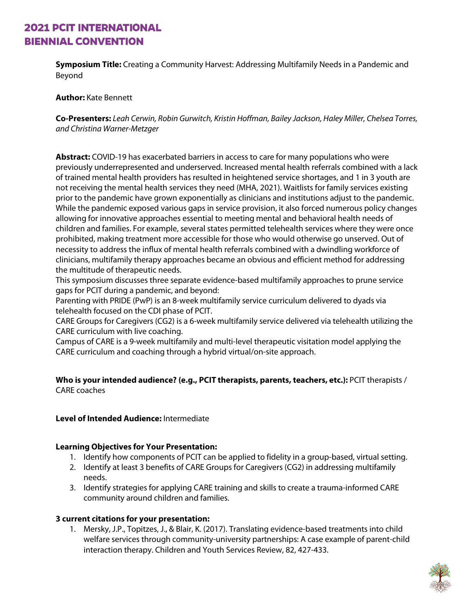**Symposium Title:** Creating a Community Harvest: Addressing Multifamily Needs in a Pandemic and Beyond

**Author:** Kate Bennett

**Co-Presenters:** *Leah Cerwin, Robin Gurwitch, Kristin Hoffman, Bailey Jackson, Haley Miller, Chelsea Torres, and Christina Warner-Metzger*

**Abstract:** COVID-19 has exacerbated barriers in access to care for many populations who were previously underrepresented and underserved. Increased mental health referrals combined with a lack of trained mental health providers has resulted in heightened service shortages, and 1 in 3 youth are not receiving the mental health services they need (MHA, 2021). Waitlists for family services existing prior to the pandemic have grown exponentially as clinicians and institutions adjust to the pandemic. While the pandemic exposed various gaps in service provision, it also forced numerous policy changes allowing for innovative approaches essential to meeting mental and behavioral health needs of children and families. For example, several states permitted telehealth services where they were once prohibited, making treatment more accessible for those who would otherwise go unserved. Out of necessity to address the influx of mental health referrals combined with a dwindling workforce of clinicians, multifamily therapy approaches became an obvious and efficient method for addressing the multitude of therapeutic needs.

This symposium discusses three separate evidence-based multifamily approaches to prune service gaps for PCIT during a pandemic, and beyond:

Parenting with PRIDE (PwP) is an 8-week multifamily service curriculum delivered to dyads via telehealth focused on the CDI phase of PCIT.

CARE Groups for Caregivers (CG2) is a 6-week multifamily service delivered via telehealth utilizing the CARE curriculum with live coaching.

Campus of CARE is a 9-week multifamily and multi-level therapeutic visitation model applying the CARE curriculum and coaching through a hybrid virtual/on-site approach.

### **Who is your intended audience? (e.g., PCIT therapists, parents, teachers, etc.):** PCIT therapists / CARE coaches

### **Level of Intended Audience:** Intermediate

### **Learning Objectives for Your Presentation:**

- 1. Identify how components of PCIT can be applied to fidelity in a group-based, virtual setting.
- 2. Identify at least 3 benefits of CARE Groups for Caregivers (CG2) in addressing multifamily needs.
- 3. Identify strategies for applying CARE training and skills to create a trauma-informed CARE community around children and families.

### **3 current citations for your presentation:**

1. Mersky, J.P., Topitzes, J., & Blair, K. (2017). Translating evidence-based treatments into child welfare services through community-university partnerships: A case example of parent-child interaction therapy. Children and Youth Services Review, 82, 427-433.

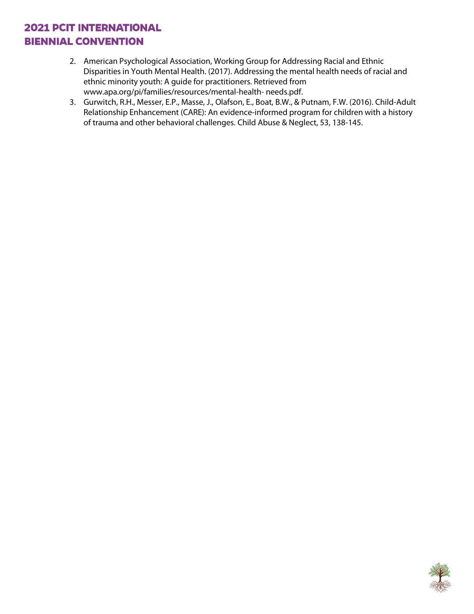- 2. American Psychological Association, Working Group for Addressing Racial and Ethnic Disparities in Youth Mental Health. (2017). Addressing the mental health needs of racial and ethnic minority youth: A guide for practitioners. Retrieved from www.apa.org/pi/families/resources/mental-health- needs.pdf.
- 3. Gurwitch, R.H., Messer, E.P., Masse, J., Olafson, E., Boat, B.W., & Putnam, F.W. (2016). Child-Adult Relationship Enhancement (CARE): An evidence-informed program for children with a history of trauma and other behavioral challenges. Child Abuse & Neglect, 53, 138-145.

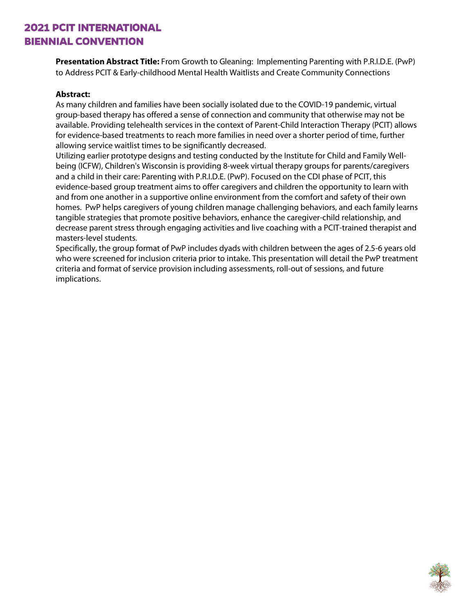**Presentation Abstract Title:** From Growth to Gleaning: Implementing Parenting with P.R.I.D.E. (PwP) to Address PCIT & Early-childhood Mental Health Waitlists and Create Community Connections

#### **Abstract:**

As many children and families have been socially isolated due to the COVID-19 pandemic, virtual group-based therapy has offered a sense of connection and community that otherwise may not be available. Providing telehealth services in the context of Parent-Child Interaction Therapy (PCIT) allows for evidence-based treatments to reach more families in need over a shorter period of time, further allowing service waitlist times to be significantly decreased.

Utilizing earlier prototype designs and testing conducted by the Institute for Child and Family Wellbeing (ICFW), Children's Wisconsin is providing 8-week virtual therapy groups for parents/caregivers and a child in their care: Parenting with P.R.I.D.E. (PwP). Focused on the CDI phase of PCIT, this evidence-based group treatment aims to offer caregivers and children the opportunity to learn with and from one another in a supportive online environment from the comfort and safety of their own homes. PwP helps caregivers of young children manage challenging behaviors, and each family learns tangible strategies that promote positive behaviors, enhance the caregiver-child relationship, and decrease parent stress through engaging activities and live coaching with a PCIT-trained therapist and masters-level students.

Specifically, the group format of PwP includes dyads with children between the ages of 2.5-6 years old who were screened for inclusion criteria prior to intake. This presentation will detail the PwP treatment criteria and format of service provision including assessments, roll-out of sessions, and future implications.

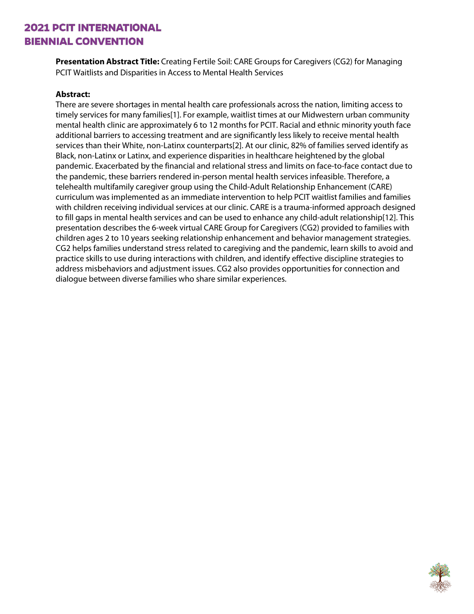**Presentation Abstract Title:** Creating Fertile Soil: CARE Groups for Caregivers (CG2) for Managing PCIT Waitlists and Disparities in Access to Mental Health Services

#### **Abstract:**

There are severe shortages in mental health care professionals across the nation, limiting access to timely services for many families[1]. For example, waitlist times at our Midwestern urban community mental health clinic are approximately 6 to 12 months for PCIT. Racial and ethnic minority youth face additional barriers to accessing treatment and are significantly less likely to receive mental health services than their White, non-Latinx counterparts[2]. At our clinic, 82% of families served identify as Black, non-Latinx or Latinx, and experience disparities in healthcare heightened by the global pandemic. Exacerbated by the financial and relational stress and limits on face-to-face contact due to the pandemic, these barriers rendered in-person mental health services infeasible. Therefore, a telehealth multifamily caregiver group using the Child-Adult Relationship Enhancement (CARE) curriculum was implemented as an immediate intervention to help PCIT waitlist families and families with children receiving individual services at our clinic. CARE is a trauma-informed approach designed to fill gaps in mental health services and can be used to enhance any child-adult relationship[12]. This presentation describes the 6-week virtual CARE Group for Caregivers (CG2) provided to families with children ages 2 to 10 years seeking relationship enhancement and behavior management strategies. CG2 helps families understand stress related to caregiving and the pandemic, learn skills to avoid and practice skills to use during interactions with children, and identify effective discipline strategies to address misbehaviors and adjustment issues. CG2 also provides opportunities for connection and dialogue between diverse families who share similar experiences.